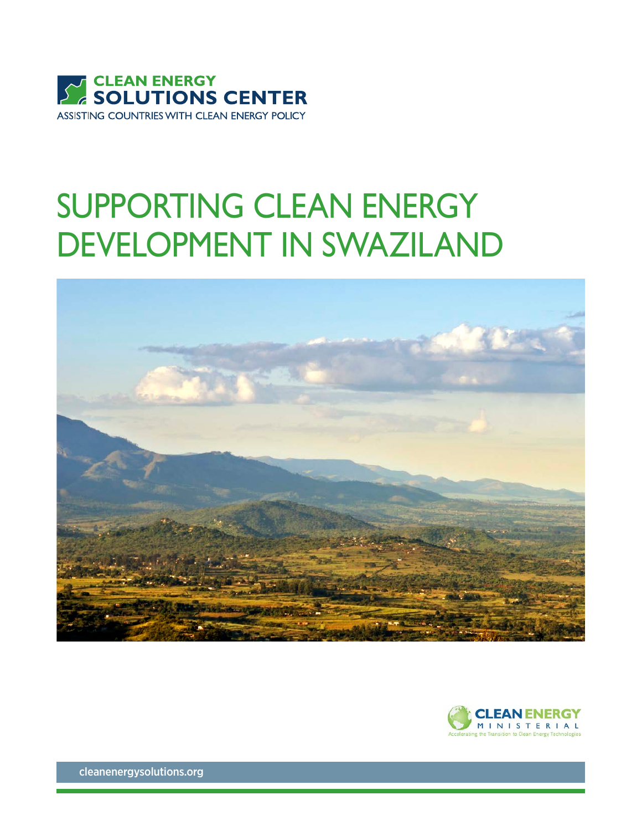

## SUPPORTING CLEAN ENERGY DEVELOPMENT IN SWAZILAND





[cleanenergysolutions.org](http://www.cleanenergysolutions.org)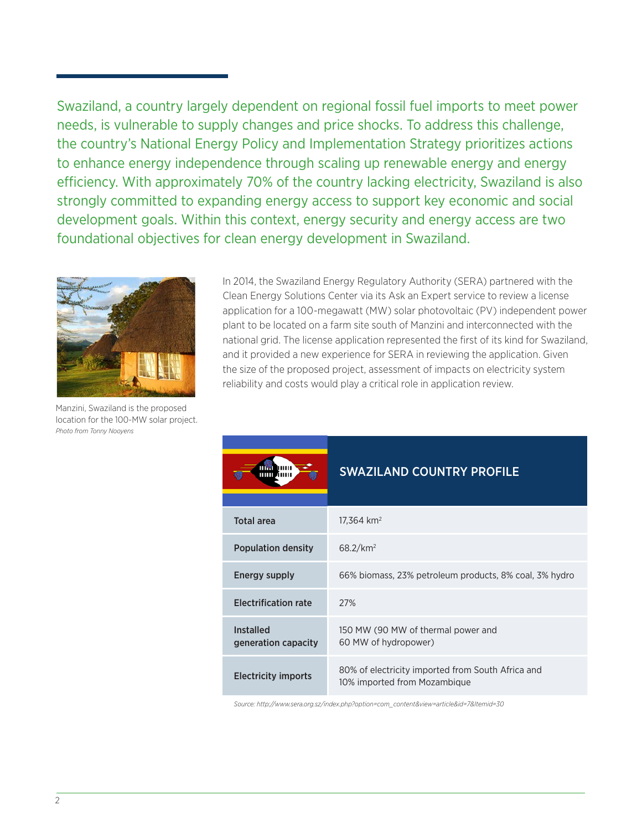Swaziland, a country largely dependent on regional fossil fuel imports to meet power needs, is vulnerable to supply changes and price shocks. To address this challenge, the country's National Energy Policy and Implementation Strategy prioritizes actions to enhance energy independence through scaling up renewable energy and energy efficiency. With approximately 70% of the country lacking electricity, Swaziland is also strongly committed to expanding energy access to support key economic and social development goals. Within this context, energy security and energy access are two foundational objectives for clean energy development in Swaziland.



Manzini, Swaziland is the proposed location for the 100-MW solar project. *Photo from Tonny Nooyens* 

In 2014, the Swaziland Energy Regulatory Authority (SERA) partnered with the Clean Energy Solutions Center via its Ask an Expert service to review a license application for a 100-megawatt (MW) solar photovoltaic (PV) independent power plant to be located on a farm site south of Manzini and interconnected with the national grid. The license application represented the first of its kind for Swaziland, and it provided a new experience for SERA in reviewing the application. Given the size of the proposed project, assessment of impacts on electricity system reliability and costs would play a critical role in application review.

|                                         | <b>SWAZILAND COUNTRY PROFILE</b>                                                  |
|-----------------------------------------|-----------------------------------------------------------------------------------|
| <b>Total area</b>                       | $17,364$ km <sup>2</sup>                                                          |
| <b>Population density</b>               | $68.2$ /km <sup>2</sup>                                                           |
| Energy supply                           | 66% biomass, 23% petroleum products, 8% coal, 3% hydro                            |
| <b>Electrification rate</b>             | 27%                                                                               |
| <b>Installed</b><br>generation capacity | 150 MW (90 MW of thermal power and<br>60 MW of hydropower)                        |
| <b>Electricity imports</b>              | 80% of electricity imported from South Africa and<br>10% imported from Mozambique |

*Source: http://www.sera.org.sz/index.php?option=com\_content&view=article&id=7&Itemid=30*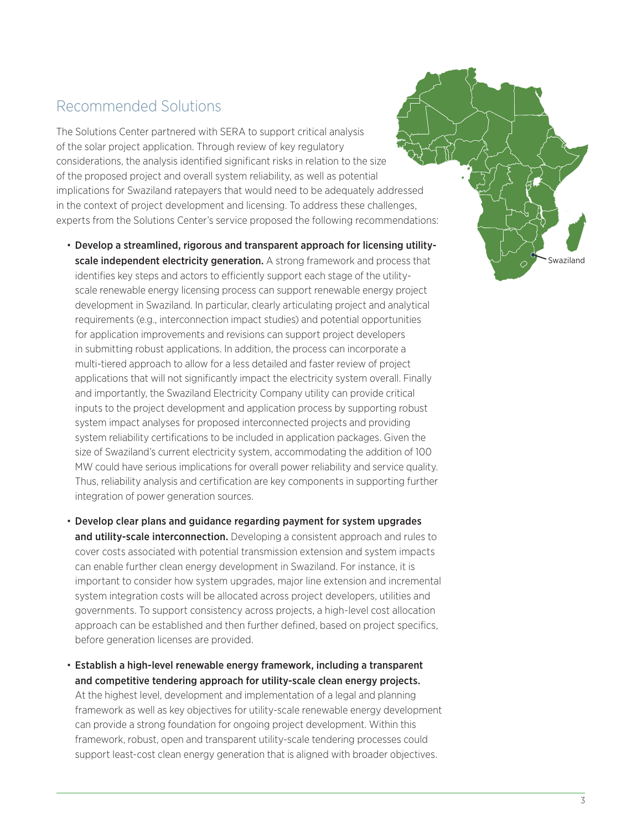## Recommended Solutions

The Solutions Center partnered with SERA to support critical analysis of the solar project application. Through review of key regulatory considerations, the analysis identified significant risks in relation to the size of the proposed project and overall system reliability, as well as potential implications for Swaziland ratepayers that would need to be adequately addressed in the context of project development and licensing. To address these challenges, experts from the Solutions Center's service proposed the following recommendations:

- Develop a streamlined, rigorous and transparent approach for licensing utilityscale independent electricity generation. A strong framework and process that identifies key steps and actors to efficiently support each stage of the utilityscale renewable energy licensing process can support renewable energy project development in Swaziland. In particular, clearly articulating project and analytical requirements (e.g., interconnection impact studies) and potential opportunities for application improvements and revisions can support project developers in submitting robust applications. In addition, the process can incorporate a multi-tiered approach to allow for a less detailed and faster review of project applications that will not significantly impact the electricity system overall. Finally and importantly, the Swaziland Electricity Company utility can provide critical inputs to the project development and application process by supporting robust system impact analyses for proposed interconnected projects and providing system reliability certifications to be included in application packages. Given the size of Swaziland's current electricity system, accommodating the addition of 100 MW could have serious implications for overall power reliability and service quality. Thus, reliability analysis and certification are key components in supporting further integration of power generation sources.
- Develop clear plans and guidance regarding payment for system upgrades and utility-scale interconnection. Developing a consistent approach and rules to cover costs associated with potential transmission extension and system impacts can enable further clean energy development in Swaziland. For instance, it is important to consider how system upgrades, major line extension and incremental system integration costs will be allocated across project developers, utilities and governments. To support consistency across projects, a high-level cost allocation approach can be established and then further defined, based on project specifics, before generation licenses are provided.

• Establish a high-level renewable energy framework, including a transparent and competitive tendering approach for utility-scale clean energy projects.

At the highest level, development and implementation of a legal and planning framework as well as key objectives for utility-scale renewable energy development can provide a strong foundation for ongoing project development. Within this framework, robust, open and transparent utility-scale tendering processes could support least-cost clean energy generation that is aligned with broader objectives.

Swaziland